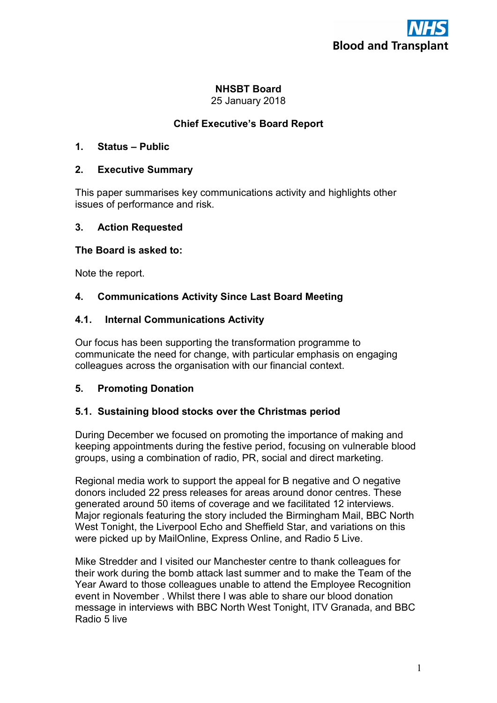# NHSBT Board

25 January 2018

# Chief Executive's Board Report

## 1. Status – Public

#### 2. Executive Summary

This paper summarises key communications activity and highlights other issues of performance and risk.

#### 3. Action Requested

#### The Board is asked to:

Note the report.

## 4. Communications Activity Since Last Board Meeting

## 4.1. Internal Communications Activity

Our focus has been supporting the transformation programme to communicate the need for change, with particular emphasis on engaging colleagues across the organisation with our financial context.

## 5. Promoting Donation

## 5.1. Sustaining blood stocks over the Christmas period

During December we focused on promoting the importance of making and keeping appointments during the festive period, focusing on vulnerable blood groups, using a combination of radio, PR, social and direct marketing.

Regional media work to support the appeal for B negative and O negative donors included 22 press releases for areas around donor centres. These generated around 50 items of coverage and we facilitated 12 interviews. Major regionals featuring the story included the Birmingham Mail, BBC North West Tonight, the Liverpool Echo and Sheffield Star, and variations on this were picked up by MailOnline, Express Online, and Radio 5 Live.

Mike Stredder and I visited our Manchester centre to thank colleagues for their work during the bomb attack last summer and to make the Team of the Year Award to those colleagues unable to attend the Employee Recognition event in November . Whilst there I was able to share our blood donation message in interviews with BBC North West Tonight, ITV Granada, and BBC Radio 5 live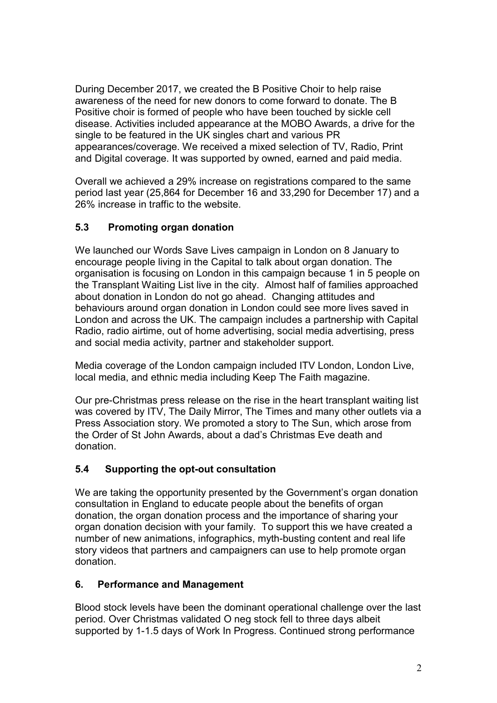During December 2017, we created the B Positive Choir to help raise awareness of the need for new donors to come forward to donate. The B Positive choir is formed of people who have been touched by sickle cell disease. Activities included appearance at the MOBO Awards, a drive for the single to be featured in the UK singles chart and various PR appearances/coverage. We received a mixed selection of TV, Radio, Print and Digital coverage. It was supported by owned, earned and paid media.

Overall we achieved a 29% increase on registrations compared to the same period last year (25,864 for December 16 and 33,290 for December 17) and a 26% increase in traffic to the website.

## 5.3 Promoting organ donation

We launched our Words Save Lives campaign in London on 8 January to encourage people living in the Capital to talk about organ donation. The organisation is focusing on London in this campaign because 1 in 5 people on the Transplant Waiting List live in the city. Almost half of families approached about donation in London do not go ahead. Changing attitudes and behaviours around organ donation in London could see more lives saved in London and across the UK. The campaign includes a partnership with Capital Radio, radio airtime, out of home advertising, social media advertising, press and social media activity, partner and stakeholder support.

Media coverage of the London campaign included ITV London, London Live, local media, and ethnic media including Keep The Faith magazine.

Our pre-Christmas press release on the rise in the heart transplant waiting list was covered by ITV, The Daily Mirror, The Times and many other outlets via a Press Association story. We promoted a story to The Sun, which arose from the Order of St John Awards, about a dad's Christmas Eve death and donation.

## 5.4 Supporting the opt-out consultation

We are taking the opportunity presented by the Government's organ donation consultation in England to educate people about the benefits of organ donation, the organ donation process and the importance of sharing your organ donation decision with your family. To support this we have created a number of new animations, infographics, myth-busting content and real life story videos that partners and campaigners can use to help promote organ donation.

## 6. Performance and Management

Blood stock levels have been the dominant operational challenge over the last period. Over Christmas validated O neg stock fell to three days albeit supported by 1-1.5 days of Work In Progress. Continued strong performance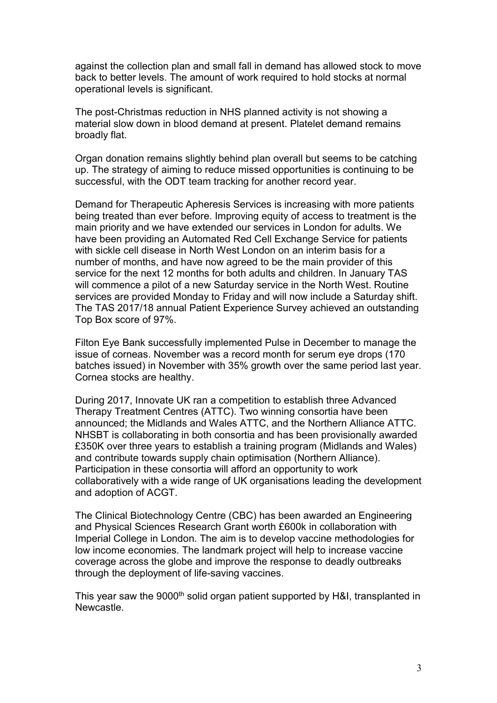against the collection plan and small fall in demand has allowed stock to move back to better levels. The amount of work required to hold stocks at normal operational levels is significant.

The post-Christmas reduction in NHS planned activity is not showing a material slow down in blood demand at present. Platelet demand remains broadly flat.

Organ donation remains slightly behind plan overall but seems to be catching up. The strategy of aiming to reduce missed opportunities is continuing to be successful, with the ODT team tracking for another record year.

Demand for Therapeutic Apheresis Services is increasing with more patients being treated than ever before. Improving equity of access to treatment is the main priority and we have extended our services in London for adults. We have been providing an Automated Red Cell Exchange Service for patients with sickle cell disease in North West London on an interim basis for a number of months, and have now agreed to be the main provider of this service for the next 12 months for both adults and children. In January TAS will commence a pilot of a new Saturday service in the North West. Routine services are provided Monday to Friday and will now include a Saturday shift. The TAS 2017/18 annual Patient Experience Survey achieved an outstanding Top Box score of 97%.

Filton Eye Bank successfully implemented Pulse in December to manage the issue of corneas. November was a record month for serum eye drops (170 batches issued) in November with 35% growth over the same period last year. Cornea stocks are healthy.

During 2017, Innovate UK ran a competition to establish three Advanced Therapy Treatment Centres (ATTC). Two winning consortia have been announced; the Midlands and Wales ATTC, and the Northern Alliance ATTC. NHSBT is collaborating in both consortia and has been provisionally awarded £350K over three years to establish a training program (Midlands and Wales) and contribute towards supply chain optimisation (Northern Alliance). Participation in these consortia will afford an opportunity to work collaboratively with a wide range of UK organisations leading the development and adoption of ACGT.

The Clinical Biotechnology Centre (CBC) has been awarded an Engineering and Physical Sciences Research Grant worth £600k in collaboration with Imperial College in London. The aim is to develop vaccine methodologies for low income economies. The landmark project will help to increase vaccine coverage across the globe and improve the response to deadly outbreaks through the deployment of life-saving vaccines.

This year saw the 9000<sup>th</sup> solid organ patient supported by H&I, transplanted in **Newcastle**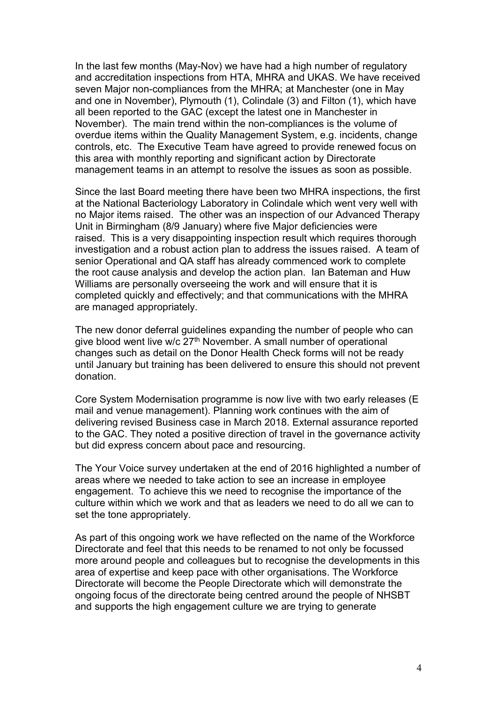In the last few months (May-Nov) we have had a high number of regulatory and accreditation inspections from HTA, MHRA and UKAS. We have received seven Major non-compliances from the MHRA; at Manchester (one in May and one in November), Plymouth (1), Colindale (3) and Filton (1), which have all been reported to the GAC (except the latest one in Manchester in November). The main trend within the non-compliances is the volume of overdue items within the Quality Management System, e.g. incidents, change controls, etc. The Executive Team have agreed to provide renewed focus on this area with monthly reporting and significant action by Directorate management teams in an attempt to resolve the issues as soon as possible.

Since the last Board meeting there have been two MHRA inspections, the first at the National Bacteriology Laboratory in Colindale which went very well with no Major items raised. The other was an inspection of our Advanced Therapy Unit in Birmingham (8/9 January) where five Major deficiencies were raised. This is a very disappointing inspection result which requires thorough investigation and a robust action plan to address the issues raised. A team of senior Operational and QA staff has already commenced work to complete the root cause analysis and develop the action plan. Ian Bateman and Huw Williams are personally overseeing the work and will ensure that it is completed quickly and effectively; and that communications with the MHRA are managed appropriately.

The new donor deferral guidelines expanding the number of people who can give blood went live w/c  $27<sup>th</sup>$  November. A small number of operational changes such as detail on the Donor Health Check forms will not be ready until January but training has been delivered to ensure this should not prevent donation.

Core System Modernisation programme is now live with two early releases (E mail and venue management). Planning work continues with the aim of delivering revised Business case in March 2018. External assurance reported to the GAC. They noted a positive direction of travel in the governance activity but did express concern about pace and resourcing.

The Your Voice survey undertaken at the end of 2016 highlighted a number of areas where we needed to take action to see an increase in employee engagement. To achieve this we need to recognise the importance of the culture within which we work and that as leaders we need to do all we can to set the tone appropriately.

As part of this ongoing work we have reflected on the name of the Workforce Directorate and feel that this needs to be renamed to not only be focussed more around people and colleagues but to recognise the developments in this area of expertise and keep pace with other organisations. The Workforce Directorate will become the People Directorate which will demonstrate the ongoing focus of the directorate being centred around the people of NHSBT and supports the high engagement culture we are trying to generate